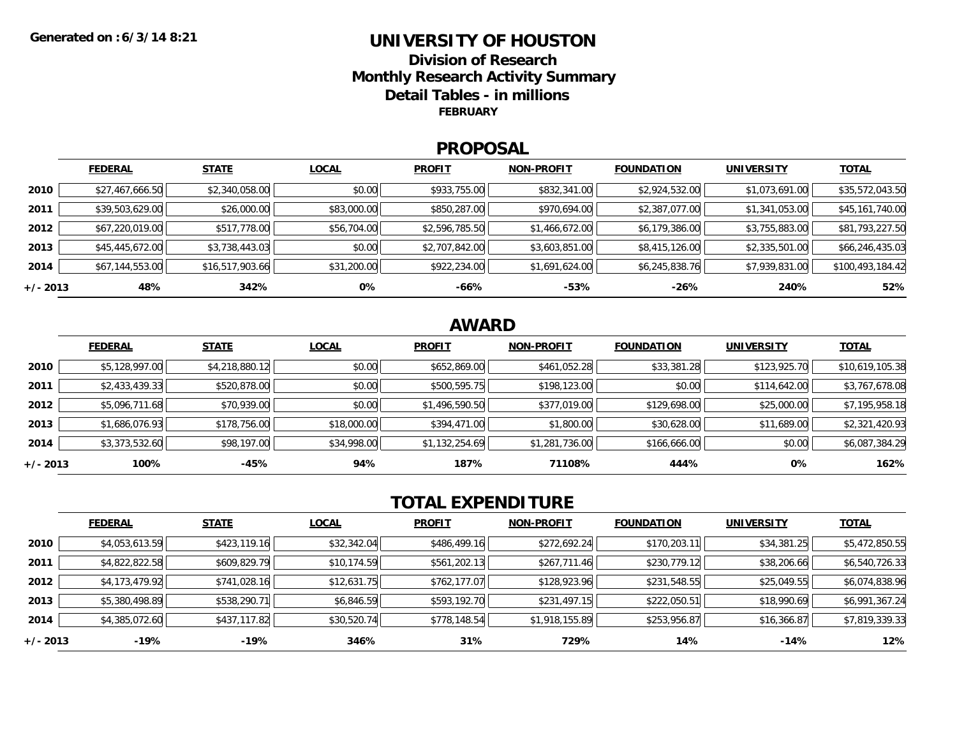### **UNIVERSITY OF HOUSTONDivision of ResearchMonthly Research Activity Summary Detail Tables - in millions FEBRUARY**

#### **PROPOSAL**

|            | <b>FEDERAL</b>  | <b>STATE</b>    | <b>LOCAL</b> | <b>PROFIT</b>  | <b>NON-PROFIT</b> | <b>FOUNDATION</b> | <b>UNIVERSITY</b> | <u>TOTAL</u>     |
|------------|-----------------|-----------------|--------------|----------------|-------------------|-------------------|-------------------|------------------|
| 2010       | \$27,467,666.50 | \$2,340,058.00  | \$0.00       | \$933,755.00   | \$832,341.00      | \$2,924,532.00    | \$1,073,691.00    | \$35,572,043.50  |
| 2011       | \$39,503,629.00 | \$26,000.00     | \$83,000.00  | \$850,287.00   | \$970,694.00      | \$2,387,077.00    | \$1,341,053.00    | \$45,161,740.00  |
| 2012       | \$67,220,019.00 | \$517,778.00    | \$56,704.00  | \$2,596,785.50 | \$1,466,672.00    | \$6,179,386.00    | \$3,755,883.00    | \$81,793,227.50  |
| 2013       | \$45,445,672.00 | \$3,738,443.03  | \$0.00       | \$2,707,842.00 | \$3,603,851.00    | \$8,415,126.00    | \$2,335,501.00    | \$66,246,435.03  |
| 2014       | \$67,144,553.00 | \$16,517,903.66 | \$31,200.00  | \$922,234.00   | \$1,691,624.00    | \$6,245,838.76    | \$7,939,831.00    | \$100,493,184.42 |
| $+/- 2013$ | 48%             | 342%            | 0%           | -66%           | -53%              | $-26%$            | 240%              | 52%              |

## **AWARD**

|          | <b>FEDERAL</b> | <b>STATE</b>   | <b>LOCAL</b> | <b>PROFIT</b>  | <b>NON-PROFIT</b> | <b>FOUNDATION</b> | <b>UNIVERSITY</b> | <b>TOTAL</b>    |
|----------|----------------|----------------|--------------|----------------|-------------------|-------------------|-------------------|-----------------|
| 2010     | \$5,128,997.00 | \$4,218,880.12 | \$0.00       | \$652,869.00   | \$461,052.28      | \$33,381.28       | \$123,925.70      | \$10,619,105.38 |
| 2011     | \$2,433,439.33 | \$520,878.00   | \$0.00       | \$500,595.75   | \$198,123.00      | \$0.00            | \$114,642.00      | \$3,767,678.08  |
| 2012     | \$5,096,711.68 | \$70,939.00    | \$0.00       | \$1,496,590.50 | \$377,019.00      | \$129,698.00      | \$25,000.00       | \$7,195,958.18  |
| 2013     | \$1,686,076.93 | \$178,756.00   | \$18,000.00  | \$394,471.00   | \$1,800.00        | \$30,628.00       | \$11,689.00       | \$2,321,420.93  |
| 2014     | \$3,373,532.60 | \$98,197.00    | \$34,998.00  | \$1,132,254.69 | \$1,281,736.00    | \$166,666.00      | \$0.00            | \$6,087,384.29  |
| +/- 2013 | 100%           | $-45%$         | 94%          | 187%           | 71108%            | 444%              | 0%                | 162%            |

## **TOTAL EXPENDITURE**

|          | <b>FEDERAL</b> | <b>STATE</b> | <b>LOCAL</b> | <b>PROFIT</b> | <b>NON-PROFIT</b> | <b>FOUNDATION</b> | <b>UNIVERSITY</b> | <b>TOTAL</b>   |
|----------|----------------|--------------|--------------|---------------|-------------------|-------------------|-------------------|----------------|
| 2010     | \$4,053,613.59 | \$423,119.16 | \$32,342.04  | \$486,499.16  | \$272,692.24      | \$170,203.11      | \$34,381.25       | \$5,472,850.55 |
| 2011     | \$4,822,822.58 | \$609,829.79 | \$10,174.59  | \$561,202.13  | \$267,711.46      | \$230,779.12      | \$38,206.66       | \$6,540,726.33 |
| 2012     | \$4,173,479.92 | \$741,028.16 | \$12,631.75  | \$762,177.07  | \$128,923.96      | \$231,548.55      | \$25,049.55       | \$6,074,838.96 |
| 2013     | \$5,380,498.89 | \$538,290.71 | \$6,846.59   | \$593,192.70  | \$231,497.15      | \$222,050.51      | \$18,990.69       | \$6,991,367.24 |
| 2014     | \$4,385,072.60 | \$437,117.82 | \$30,520.74  | \$778,148.54  | \$1,918,155.89    | \$253,956.87      | \$16,366.87       | \$7,819,339.33 |
| +/- 2013 | -19%           | -19%         | 346%         | 31%           | 729%              | 14%               | $-14%$            | 12%            |